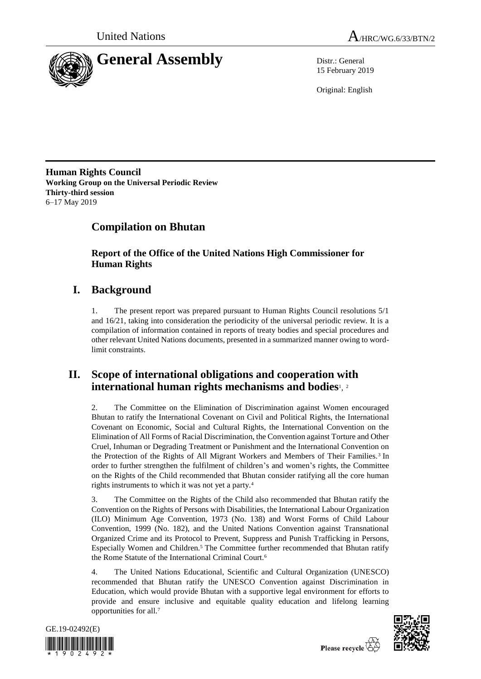



15 February 2019

Original: English

**Human Rights Council Working Group on the Universal Periodic Review Thirty-third session** 6–17 May 2019

# **Compilation on Bhutan**

**Report of the Office of the United Nations High Commissioner for Human Rights**

# **I. Background**

1. The present report was prepared pursuant to Human Rights Council resolutions 5/1 and 16/21, taking into consideration the periodicity of the universal periodic review. It is a compilation of information contained in reports of treaty bodies and special procedures and other relevant United Nations documents, presented in a summarized manner owing to wordlimit constraints.

# **II. Scope of international obligations and cooperation with international human rights mechanisms and bodies**<sup>1</sup> , 2

2. The Committee on the Elimination of Discrimination against Women encouraged Bhutan to ratify the International Covenant on Civil and Political Rights, the International Covenant on Economic, Social and Cultural Rights, the International Convention on the Elimination of All Forms of Racial Discrimination, the Convention against Torture and Other Cruel, Inhuman or Degrading Treatment or Punishment and the International Convention on the Protection of the Rights of All Migrant Workers and Members of Their Families.<sup>3</sup> In order to further strengthen the fulfilment of children's and women's rights, the Committee on the Rights of the Child recommended that Bhutan consider ratifying all the core human rights instruments to which it was not yet a party.<sup>4</sup>

3. The Committee on the Rights of the Child also recommended that Bhutan ratify the Convention on the Rights of Persons with Disabilities, the International Labour Organization (ILO) Minimum Age Convention, 1973 (No. 138) and Worst Forms of Child Labour Convention, 1999 (No. 182), and the United Nations Convention against Transnational Organized Crime and its Protocol to Prevent, Suppress and Punish Trafficking in Persons, Especially Women and Children.<sup>5</sup> The Committee further recommended that Bhutan ratify the Rome Statute of the International Criminal Court.<sup>6</sup>

4. The United Nations Educational, Scientific and Cultural Organization (UNESCO) recommended that Bhutan ratify the UNESCO Convention against Discrimination in Education, which would provide Bhutan with a supportive legal environment for efforts to provide and ensure inclusive and equitable quality education and lifelong learning opportunities for all.<sup>7</sup>



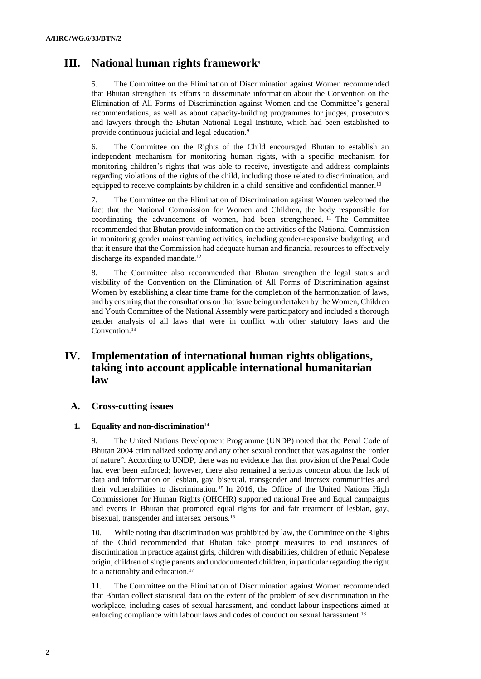## **III. National human rights framework**<sup>8</sup>

5. The Committee on the Elimination of Discrimination against Women recommended that Bhutan strengthen its efforts to disseminate information about the Convention on the Elimination of All Forms of Discrimination against Women and the Committee's general recommendations, as well as about capacity-building programmes for judges, prosecutors and lawyers through the Bhutan National Legal Institute, which had been established to provide continuous judicial and legal education.<sup>9</sup>

6. The Committee on the Rights of the Child encouraged Bhutan to establish an independent mechanism for monitoring human rights, with a specific mechanism for monitoring children's rights that was able to receive, investigate and address complaints regarding violations of the rights of the child, including those related to discrimination, and equipped to receive complaints by children in a child-sensitive and confidential manner.<sup>10</sup>

7. The Committee on the Elimination of Discrimination against Women welcomed the fact that the National Commission for Women and Children, the body responsible for coordinating the advancement of women, had been strengthened. <sup>11</sup> The Committee recommended that Bhutan provide information on the activities of the National Commission in monitoring gender mainstreaming activities, including gender-responsive budgeting, and that it ensure that the Commission had adequate human and financial resources to effectively discharge its expanded mandate.<sup>12</sup>

8. The Committee also recommended that Bhutan strengthen the legal status and visibility of the Convention on the Elimination of All Forms of Discrimination against Women by establishing a clear time frame for the completion of the harmonization of laws, and by ensuring that the consultations on that issue being undertaken by the Women, Children and Youth Committee of the National Assembly were participatory and included a thorough gender analysis of all laws that were in conflict with other statutory laws and the Convention.<sup>13</sup>

## **IV. Implementation of international human rights obligations, taking into account applicable international humanitarian law**

## **A. Cross-cutting issues**

## **1. Equality and non-discrimination**<sup>14</sup>

9. The United Nations Development Programme (UNDP) noted that the Penal Code of Bhutan 2004 criminalized sodomy and any other sexual conduct that was against the "order of nature". According to UNDP, there was no evidence that that provision of the Penal Code had ever been enforced; however, there also remained a serious concern about the lack of data and information on lesbian, gay, bisexual, transgender and intersex communities and their vulnerabilities to discrimination. <sup>15</sup> In 2016, the Office of the United Nations High Commissioner for Human Rights (OHCHR) supported national Free and Equal campaigns and events in Bhutan that promoted equal rights for and fair treatment of lesbian, gay, bisexual, transgender and intersex persons.<sup>16</sup>

10. While noting that discrimination was prohibited by law, the Committee on the Rights of the Child recommended that Bhutan take prompt measures to end instances of discrimination in practice against girls, children with disabilities, children of ethnic Nepalese origin, children of single parents and undocumented children, in particular regarding the right to a nationality and education.<sup>17</sup>

11. The Committee on the Elimination of Discrimination against Women recommended that Bhutan collect statistical data on the extent of the problem of sex discrimination in the workplace, including cases of sexual harassment, and conduct labour inspections aimed at enforcing compliance with labour laws and codes of conduct on sexual harassment.18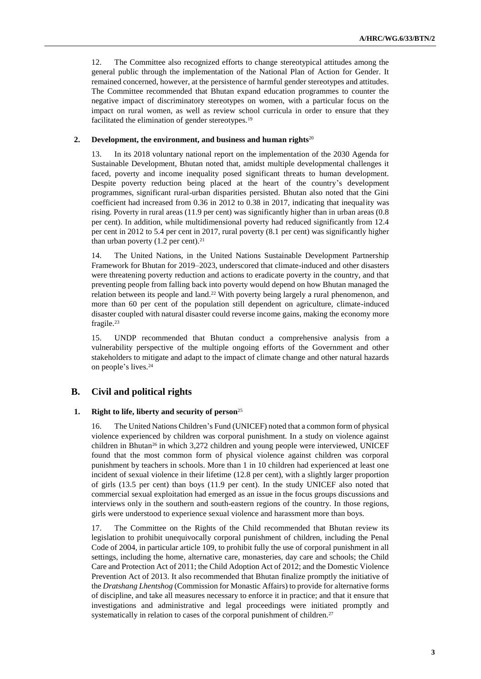12. The Committee also recognized efforts to change stereotypical attitudes among the general public through the implementation of the National Plan of Action for Gender. It remained concerned, however, at the persistence of harmful gender stereotypes and attitudes. The Committee recommended that Bhutan expand education programmes to counter the negative impact of discriminatory stereotypes on women, with a particular focus on the impact on rural women, as well as review school curricula in order to ensure that they facilitated the elimination of gender stereotypes.<sup>19</sup>

#### **2. Development, the environment, and business and human rights**<sup>20</sup>

13. In its 2018 voluntary national report on the implementation of the 2030 Agenda for Sustainable Development, Bhutan noted that, amidst multiple developmental challenges it faced, poverty and income inequality posed significant threats to human development. Despite poverty reduction being placed at the heart of the country's development programmes, significant rural-urban disparities persisted. Bhutan also noted that the Gini coefficient had increased from 0.36 in 2012 to 0.38 in 2017, indicating that inequality was rising. Poverty in rural areas (11.9 per cent) was significantly higher than in urban areas (0.8 per cent). In addition, while multidimensional poverty had reduced significantly from 12.4 per cent in 2012 to 5.4 per cent in 2017, rural poverty (8.1 per cent) was significantly higher than urban poverty  $(1.2 \text{ per cent.})^{21}$ 

14. The United Nations, in the United Nations Sustainable Development Partnership Framework for Bhutan for 2019–2023, underscored that climate-induced and other disasters were threatening poverty reduction and actions to eradicate poverty in the country, and that preventing people from falling back into poverty would depend on how Bhutan managed the relation between its people and land.<sup>22</sup> With poverty being largely a rural phenomenon, and more than 60 per cent of the population still dependent on agriculture, climate-induced disaster coupled with natural disaster could reverse income gains, making the economy more fragile.<sup>23</sup>

15. UNDP recommended that Bhutan conduct a comprehensive analysis from a vulnerability perspective of the multiple ongoing efforts of the Government and other stakeholders to mitigate and adapt to the impact of climate change and other natural hazards on people's lives.<sup>24</sup>

## **B. Civil and political rights**

## **1. Right to life, liberty and security of person**<sup>25</sup>

16. The United Nations Children's Fund (UNICEF) noted that a common form of physical violence experienced by children was corporal punishment. In a study on violence against children in Bhutan<sup>26</sup> in which 3,272 children and young people were interviewed, UNICEF found that the most common form of physical violence against children was corporal punishment by teachers in schools. More than 1 in 10 children had experienced at least one incident of sexual violence in their lifetime (12.8 per cent), with a slightly larger proportion of girls (13.5 per cent) than boys (11.9 per cent). In the study UNICEF also noted that commercial sexual exploitation had emerged as an issue in the focus groups discussions and interviews only in the southern and south-eastern regions of the country. In those regions, girls were understood to experience sexual violence and harassment more than boys.

17. The Committee on the Rights of the Child recommended that Bhutan review its legislation to prohibit unequivocally corporal punishment of children, including the Penal Code of 2004, in particular article 109, to prohibit fully the use of corporal punishment in all settings, including the home, alternative care, monasteries, day care and schools; the Child Care and Protection Act of 2011; the Child Adoption Act of 2012; and the Domestic Violence Prevention Act of 2013. It also recommended that Bhutan finalize promptly the initiative of the *Dratshang Lhentshog* (Commission for Monastic Affairs) to provide for alternative forms of discipline, and take all measures necessary to enforce it in practice; and that it ensure that investigations and administrative and legal proceedings were initiated promptly and systematically in relation to cases of the corporal punishment of children.<sup>27</sup>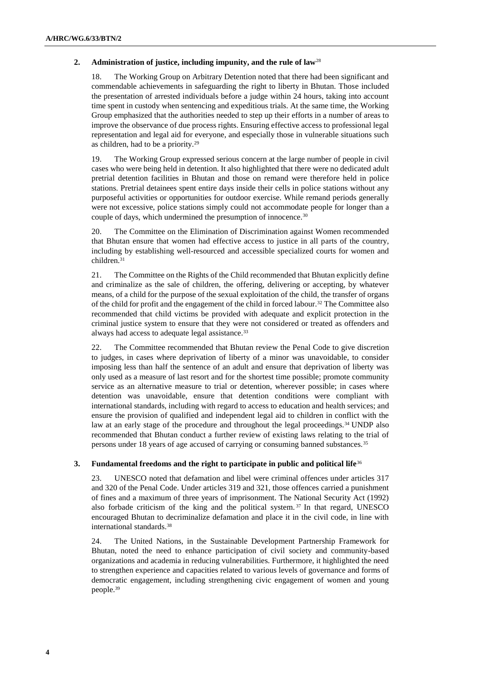## **2. Administration of justice, including impunity, and the rule of law**<sup>28</sup>

18. The Working Group on Arbitrary Detention noted that there had been significant and commendable achievements in safeguarding the right to liberty in Bhutan. Those included the presentation of arrested individuals before a judge within 24 hours, taking into account time spent in custody when sentencing and expeditious trials. At the same time, the Working Group emphasized that the authorities needed to step up their efforts in a number of areas to improve the observance of due process rights. Ensuring effective access to professional legal representation and legal aid for everyone, and especially those in vulnerable situations such as children, had to be a priority.<sup>29</sup>

19. The Working Group expressed serious concern at the large number of people in civil cases who were being held in detention. It also highlighted that there were no dedicated adult pretrial detention facilities in Bhutan and those on remand were therefore held in police stations. Pretrial detainees spent entire days inside their cells in police stations without any purposeful activities or opportunities for outdoor exercise. While remand periods generally were not excessive, police stations simply could not accommodate people for longer than a couple of days, which undermined the presumption of innocence.<sup>30</sup>

20. The Committee on the Elimination of Discrimination against Women recommended that Bhutan ensure that women had effective access to justice in all parts of the country, including by establishing well-resourced and accessible specialized courts for women and children.<sup>31</sup>

21. The Committee on the Rights of the Child recommended that Bhutan explicitly define and criminalize as the sale of children, the offering, delivering or accepting, by whatever means, of a child for the purpose of the sexual exploitation of the child, the transfer of organs of the child for profit and the engagement of the child in forced labour.<sup>32</sup> The Committee also recommended that child victims be provided with adequate and explicit protection in the criminal justice system to ensure that they were not considered or treated as offenders and always had access to adequate legal assistance.<sup>33</sup>

22. The Committee recommended that Bhutan review the Penal Code to give discretion to judges, in cases where deprivation of liberty of a minor was unavoidable, to consider imposing less than half the sentence of an adult and ensure that deprivation of liberty was only used as a measure of last resort and for the shortest time possible; promote community service as an alternative measure to trial or detention, wherever possible; in cases where detention was unavoidable, ensure that detention conditions were compliant with international standards, including with regard to access to education and health services; and ensure the provision of qualified and independent legal aid to children in conflict with the law at an early stage of the procedure and throughout the legal proceedings.<sup>34</sup> UNDP also recommended that Bhutan conduct a further review of existing laws relating to the trial of persons under 18 years of age accused of carrying or consuming banned substances.<sup>35</sup>

## **3. Fundamental freedoms and the right to participate in public and political life**<sup>36</sup>

23. UNESCO noted that defamation and libel were criminal offences under articles 317 and 320 of the Penal Code. Under articles 319 and 321, those offences carried a punishment of fines and a maximum of three years of imprisonment. The National Security Act (1992) also forbade criticism of the king and the political system. <sup>37</sup> In that regard, UNESCO encouraged Bhutan to decriminalize defamation and place it in the civil code, in line with international standards.<sup>38</sup>

24. The United Nations, in the Sustainable Development Partnership Framework for Bhutan, noted the need to enhance participation of civil society and community-based organizations and academia in reducing vulnerabilities. Furthermore, it highlighted the need to strengthen experience and capacities related to various levels of governance and forms of democratic engagement, including strengthening civic engagement of women and young people.39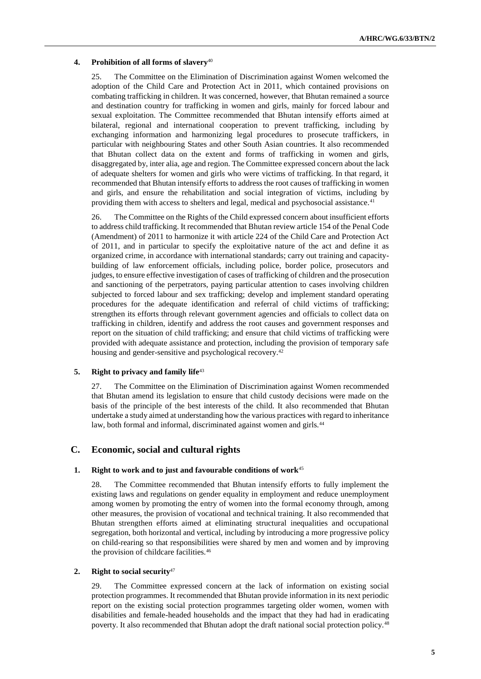#### **4. Prohibition of all forms of slavery**<sup>40</sup>

25. The Committee on the Elimination of Discrimination against Women welcomed the adoption of the Child Care and Protection Act in 2011, which contained provisions on combating trafficking in children. It was concerned, however, that Bhutan remained a source and destination country for trafficking in women and girls, mainly for forced labour and sexual exploitation. The Committee recommended that Bhutan intensify efforts aimed at bilateral, regional and international cooperation to prevent trafficking, including by exchanging information and harmonizing legal procedures to prosecute traffickers, in particular with neighbouring States and other South Asian countries. It also recommended that Bhutan collect data on the extent and forms of trafficking in women and girls, disaggregated by, inter alia, age and region. The Committee expressed concern about the lack of adequate shelters for women and girls who were victims of trafficking. In that regard, it recommended that Bhutan intensify efforts to address the root causes of trafficking in women and girls, and ensure the rehabilitation and social integration of victims, including by providing them with access to shelters and legal, medical and psychosocial assistance.<sup>41</sup>

26. The Committee on the Rights of the Child expressed concern about insufficient efforts to address child trafficking. It recommended that Bhutan review article 154 of the Penal Code (Amendment) of 2011 to harmonize it with article 224 of the Child Care and Protection Act of 2011, and in particular to specify the exploitative nature of the act and define it as organized crime, in accordance with international standards; carry out training and capacitybuilding of law enforcement officials, including police, border police, prosecutors and judges, to ensure effective investigation of cases of trafficking of children and the prosecution and sanctioning of the perpetrators, paying particular attention to cases involving children subjected to forced labour and sex trafficking; develop and implement standard operating procedures for the adequate identification and referral of child victims of trafficking; strengthen its efforts through relevant government agencies and officials to collect data on trafficking in children, identify and address the root causes and government responses and report on the situation of child trafficking; and ensure that child victims of trafficking were provided with adequate assistance and protection, including the provision of temporary safe housing and gender-sensitive and psychological recovery.<sup>42</sup>

#### **5. Right to privacy and family life**<sup>43</sup>

27. The Committee on the Elimination of Discrimination against Women recommended that Bhutan amend its legislation to ensure that child custody decisions were made on the basis of the principle of the best interests of the child. It also recommended that Bhutan undertake a study aimed at understanding how the various practices with regard to inheritance law, both formal and informal, discriminated against women and girls.<sup>44</sup>

## **C. Economic, social and cultural rights**

#### **1. Right to work and to just and favourable conditions of work**<sup>45</sup>

28. The Committee recommended that Bhutan intensify efforts to fully implement the existing laws and regulations on gender equality in employment and reduce unemployment among women by promoting the entry of women into the formal economy through, among other measures, the provision of vocational and technical training. It also recommended that Bhutan strengthen efforts aimed at eliminating structural inequalities and occupational segregation, both horizontal and vertical, including by introducing a more progressive policy on child-rearing so that responsibilities were shared by men and women and by improving the provision of childcare facilities.<sup>46</sup>

#### **2. Right to social security**<sup>47</sup>

29. The Committee expressed concern at the lack of information on existing social protection programmes. It recommended that Bhutan provide information in its next periodic report on the existing social protection programmes targeting older women, women with disabilities and female-headed households and the impact that they had had in eradicating poverty. It also recommended that Bhutan adopt the draft national social protection policy.<sup>48</sup>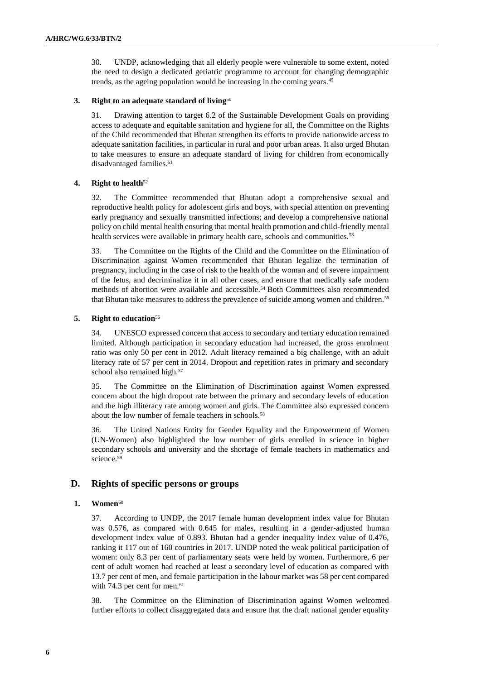30. UNDP, acknowledging that all elderly people were vulnerable to some extent, noted the need to design a dedicated geriatric programme to account for changing demographic trends, as the ageing population would be increasing in the coming years.<sup>49</sup>

## **3. Right to an adequate standard of living**<sup>50</sup>

31. Drawing attention to target 6.2 of the Sustainable Development Goals on providing access to adequate and equitable sanitation and hygiene for all, the Committee on the Rights of the Child recommended that Bhutan strengthen its efforts to provide nationwide access to adequate sanitation facilities, in particular in rural and poor urban areas. It also urged Bhutan to take measures to ensure an adequate standard of living for children from economically disadvantaged families.<sup>51</sup>

#### **4. Right to health**<sup>52</sup>

32. The Committee recommended that Bhutan adopt a comprehensive sexual and reproductive health policy for adolescent girls and boys, with special attention on preventing early pregnancy and sexually transmitted infections; and develop a comprehensive national policy on child mental health ensuring that mental health promotion and child-friendly mental health services were available in primary health care, schools and communities.<sup>53</sup>

33. The Committee on the Rights of the Child and the Committee on the Elimination of Discrimination against Women recommended that Bhutan legalize the termination of pregnancy, including in the case of risk to the health of the woman and of severe impairment of the fetus, and decriminalize it in all other cases, and ensure that medically safe modern methods of abortion were available and accessible.<sup>54</sup> Both Committees also recommended that Bhutan take measures to address the prevalence of suicide among women and children.<sup>55</sup>

#### **5. Right to education**<sup>56</sup>

34. UNESCO expressed concern that access to secondary and tertiary education remained limited. Although participation in secondary education had increased, the gross enrolment ratio was only 50 per cent in 2012. Adult literacy remained a big challenge, with an adult literacy rate of 57 per cent in 2014. Dropout and repetition rates in primary and secondary school also remained high.<sup>57</sup>

35. The Committee on the Elimination of Discrimination against Women expressed concern about the high dropout rate between the primary and secondary levels of education and the high illiteracy rate among women and girls. The Committee also expressed concern about the low number of female teachers in schools.<sup>58</sup>

36. The United Nations Entity for Gender Equality and the Empowerment of Women (UN-Women) also highlighted the low number of girls enrolled in science in higher secondary schools and university and the shortage of female teachers in mathematics and science.<sup>59</sup>

## **D. Rights of specific persons or groups**

#### **1. Women**<sup>60</sup>

37. According to UNDP, the 2017 female human development index value for Bhutan was 0.576, as compared with 0.645 for males, resulting in a gender-adjusted human development index value of 0.893. Bhutan had a gender inequality index value of 0.476, ranking it 117 out of 160 countries in 2017. UNDP noted the weak political participation of women: only 8.3 per cent of parliamentary seats were held by women. Furthermore, 6 per cent of adult women had reached at least a secondary level of education as compared with 13.7 per cent of men, and female participation in the labour market was 58 per cent compared with 74.3 per cent for men.<sup>61</sup>

38. The Committee on the Elimination of Discrimination against Women welcomed further efforts to collect disaggregated data and ensure that the draft national gender equality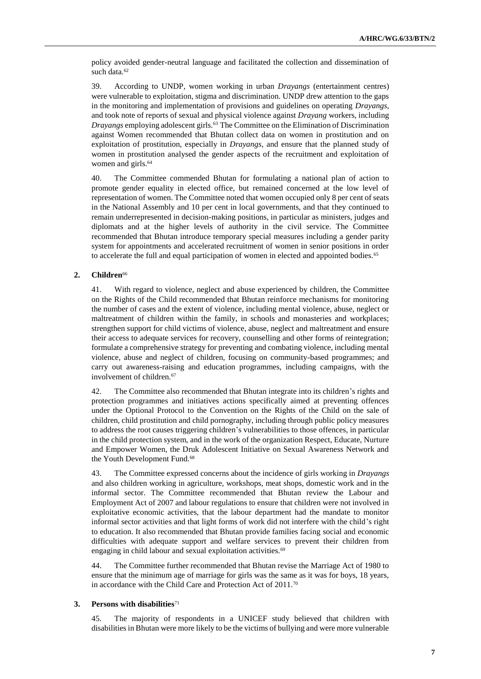policy avoided gender-neutral language and facilitated the collection and dissemination of such data.<sup>62</sup>

39. According to UNDP, women working in urban *Drayangs* (entertainment centres) were vulnerable to exploitation, stigma and discrimination. UNDP drew attention to the gaps in the monitoring and implementation of provisions and guidelines on operating *Drayangs*, and took note of reports of sexual and physical violence against *Drayang* workers, including *Drayangs* employing adolescent girls.<sup>63</sup> The Committee on the Elimination of Discrimination against Women recommended that Bhutan collect data on women in prostitution and on exploitation of prostitution, especially in *Drayangs*, and ensure that the planned study of women in prostitution analysed the gender aspects of the recruitment and exploitation of women and girls.<sup>64</sup>

40. The Committee commended Bhutan for formulating a national plan of action to promote gender equality in elected office, but remained concerned at the low level of representation of women. The Committee noted that women occupied only 8 per cent of seats in the National Assembly and 10 per cent in local governments, and that they continued to remain underrepresented in decision-making positions, in particular as ministers, judges and diplomats and at the higher levels of authority in the civil service. The Committee recommended that Bhutan introduce temporary special measures including a gender parity system for appointments and accelerated recruitment of women in senior positions in order to accelerate the full and equal participation of women in elected and appointed bodies.<sup>65</sup>

## **2. Children**<sup>66</sup>

41. With regard to violence, neglect and abuse experienced by children, the Committee on the Rights of the Child recommended that Bhutan reinforce mechanisms for monitoring the number of cases and the extent of violence, including mental violence, abuse, neglect or maltreatment of children within the family, in schools and monasteries and workplaces; strengthen support for child victims of violence, abuse, neglect and maltreatment and ensure their access to adequate services for recovery, counselling and other forms of reintegration; formulate a comprehensive strategy for preventing and combating violence, including mental violence, abuse and neglect of children, focusing on community-based programmes; and carry out awareness-raising and education programmes, including campaigns, with the involvement of children.<sup>67</sup>

42. The Committee also recommended that Bhutan integrate into its children's rights and protection programmes and initiatives actions specifically aimed at preventing offences under the Optional Protocol to the Convention on the Rights of the Child on the sale of children, child prostitution and child pornography, including through public policy measures to address the root causes triggering children's vulnerabilities to those offences, in particular in the child protection system, and in the work of the organization Respect, Educate, Nurture and Empower Women, the Druk Adolescent Initiative on Sexual Awareness Network and the Youth Development Fund.<sup>68</sup>

43. The Committee expressed concerns about the incidence of girls working in *Drayangs* and also children working in agriculture, workshops, meat shops, domestic work and in the informal sector. The Committee recommended that Bhutan review the Labour and Employment Act of 2007 and labour regulations to ensure that children were not involved in exploitative economic activities, that the labour department had the mandate to monitor informal sector activities and that light forms of work did not interfere with the child's right to education. It also recommended that Bhutan provide families facing social and economic difficulties with adequate support and welfare services to prevent their children from engaging in child labour and sexual exploitation activities.<sup>69</sup>

44. The Committee further recommended that Bhutan revise the Marriage Act of 1980 to ensure that the minimum age of marriage for girls was the same as it was for boys, 18 years, in accordance with the Child Care and Protection Act of 2011.<sup>70</sup>

#### **3. Persons with disabilities**<sup>71</sup>

45. The majority of respondents in a UNICEF study believed that children with disabilities in Bhutan were more likely to be the victims of bullying and were more vulnerable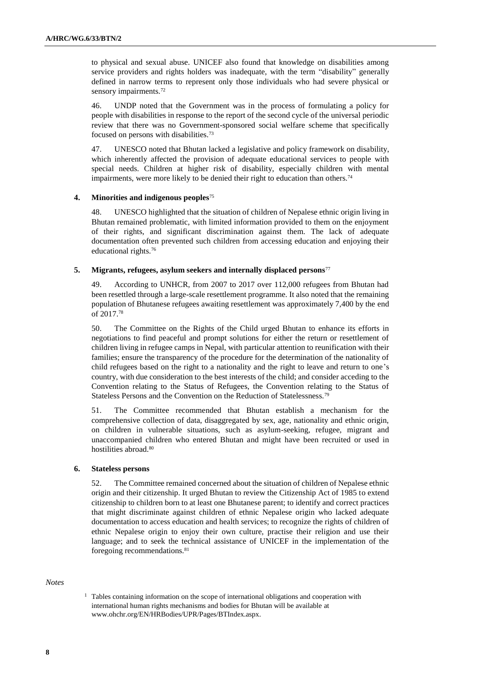to physical and sexual abuse. UNICEF also found that knowledge on disabilities among service providers and rights holders was inadequate, with the term "disability" generally defined in narrow terms to represent only those individuals who had severe physical or sensory impairments.<sup>72</sup>

46. UNDP noted that the Government was in the process of formulating a policy for people with disabilities in response to the report of the second cycle of the universal periodic review that there was no Government-sponsored social welfare scheme that specifically focused on persons with disabilities.<sup>73</sup>

47. UNESCO noted that Bhutan lacked a legislative and policy framework on disability, which inherently affected the provision of adequate educational services to people with special needs. Children at higher risk of disability, especially children with mental impairments, were more likely to be denied their right to education than others.<sup>74</sup>

#### **4. Minorities and indigenous peoples**<sup>75</sup>

48. UNESCO highlighted that the situation of children of Nepalese ethnic origin living in Bhutan remained problematic, with limited information provided to them on the enjoyment of their rights, and significant discrimination against them. The lack of adequate documentation often prevented such children from accessing education and enjoying their educational rights.<sup>76</sup>

### **5. Migrants, refugees, asylum seekers and internally displaced persons**<sup>77</sup>

49. According to UNHCR, from 2007 to 2017 over 112,000 refugees from Bhutan had been resettled through a large-scale resettlement programme. It also noted that the remaining population of Bhutanese refugees awaiting resettlement was approximately 7,400 by the end of 2017.<sup>78</sup>

50. The Committee on the Rights of the Child urged Bhutan to enhance its efforts in negotiations to find peaceful and prompt solutions for either the return or resettlement of children living in refugee camps in Nepal, with particular attention to reunification with their families; ensure the transparency of the procedure for the determination of the nationality of child refugees based on the right to a nationality and the right to leave and return to one's country, with due consideration to the best interests of the child; and consider acceding to the Convention relating to the Status of Refugees, the Convention relating to the Status of Stateless Persons and the Convention on the Reduction of Statelessness.<sup>79</sup>

51. The Committee recommended that Bhutan establish a mechanism for the comprehensive collection of data, disaggregated by sex, age, nationality and ethnic origin, on children in vulnerable situations, such as asylum-seeking, refugee, migrant and unaccompanied children who entered Bhutan and might have been recruited or used in hostilities abroad.<sup>80</sup>

#### **6. Stateless persons**

52. The Committee remained concerned about the situation of children of Nepalese ethnic origin and their citizenship. It urged Bhutan to review the Citizenship Act of 1985 to extend citizenship to children born to at least one Bhutanese parent; to identify and correct practices that might discriminate against children of ethnic Nepalese origin who lacked adequate documentation to access education and health services; to recognize the rights of children of ethnic Nepalese origin to enjoy their own culture, practise their religion and use their language; and to seek the technical assistance of UNICEF in the implementation of the foregoing recommendations.<sup>81</sup>

#### *Notes*

<sup>1</sup> Tables containing information on the scope of international obligations and cooperation with international human rights mechanisms and bodies for Bhutan will be available [at](https://www.ohchr.org/EN/HRBodies/UPR/Pages/BTIndex.aspx)  [www.ohchr.org/EN/HRBodies/UPR/Pages/BTIndex.aspx.](https://www.ohchr.org/EN/HRBodies/UPR/Pages/BTIndex.aspx)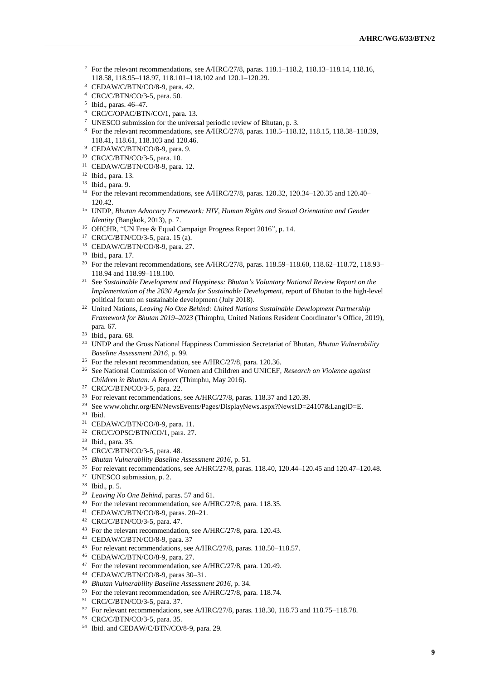- <sup>2</sup> For the relevant recommendations, see A/HRC/27/8, paras. 118.1–118.2, 118.13–118.14, 118.16, 118.58, 118.95–118.97, 118.101–118.102 and 120.1–120.29.
- CEDAW/C/BTN/CO/8-9, para. 42.
- CRC/C/BTN/CO/3-5, para. 50.
- Ibid., paras. 46–47.
- CRC/C/OPAC/BTN/CO/1, para. 13.
- UNESCO submission for the universal periodic review of Bhutan, p. 3.
- $8\text{ For the relevant recommendations, see A/HRC}/27/8, \text{ paras. } 118.5-118.12, 118.15, 118.38-118.39,$ 118.41, 118.61, 118.103 and 120.46.
- CEDAW/C/BTN/CO/8-9, para. 9.
- CRC/C/BTN/CO/3-5, para. 10.
- CEDAW/C/BTN/CO/8-9, para. 12.
- Ibid., para. 13.
- Ibid., para. 9.
- For the relevant recommendations, see A/HRC/27/8, paras. 120.32, 120.34–120.35 and 120.40– 120.42.
- UNDP, *Bhutan Advocacy Framework: HIV, Human Rights and Sexual Orientation and Gender Identity* (Bangkok, 2013), p. 7.
- OHCHR, "UN Free & Equal Campaign Progress Report 2016", p. 14.
- CRC/C/BTN/CO/3-5, para. 15 (a).
- CEDAW/C/BTN/CO/8-9, para. 27.
- Ibid., para. 17.
- <sup>20</sup> For the relevant recommendations, see A/HRC/27/8, paras. 118.59-118.60, 118.62-118.72, 118.93-118.94 and 118.99–118.100.
- See *Sustainable Development and Happiness: Bhutan's Voluntary National Review Report on the Implementation of the 2030 Agenda for Sustainable Development*, report of Bhutan to the high-level political forum on sustainable development (July 2018).
- <sup>22</sup> United Nations, *Leaving No One Behind: United Nations Sustainable Development Partnership Framework for Bhutan 2019–2023* (Thimphu, United Nations Resident Coordinator's Office, 2019), para. 67.
- Ibid., para. 68.
- UNDP and the Gross National Happiness Commission Secretariat of Bhutan, *Bhutan Vulnerability Baseline Assessment 2016*, p. 99.
- <sup>25</sup> For the relevant recommendation, see A/HRC/27/8, para. 120.36.
- See National Commission of Women and Children and UNICEF, *Research on Violence against Children in Bhutan: A Report* (Thimphu, May 2016).
- CRC/C/BTN/CO/3-5, para. 22.
- <sup>28</sup> For relevant recommendations, see A/HRC/27/8, paras. 118.37 and 120.39.
- Se[e www.ohchr.org/EN/NewsEvents/Pages/DisplayNews.aspx?NewsID=24107&LangID=E.](https://www.ohchr.org/EN/NewsEvents/Pages/DisplayNews.aspx?NewsID=24107&LangID=E)
- Ibid.
- CEDAW/C/BTN/CO/8-9, para. 11.
- CRC/C/OPSC/BTN/CO/1, para. 27.
- Ibid., para. 35.
- CRC/C/BTN/CO/3-5, para. 48.
- *Bhutan Vulnerability Baseline Assessment 2016*, p. 51.
- For relevant recommendations, see A/HRC/27/8, paras. 118.40, 120.44–120.45 and 120.47–120.48.
- UNESCO submission, p. 2.
- Ibid., p. 5.
- *Leaving No One Behind*, paras. 57 and 61.
- For the relevant recommendation, see A/HRC/27/8, para. 118.35.
- CEDAW/C/BTN/CO/8-9, paras. 20–21.
- CRC/C/BTN/CO/3-5, para. 47.
- For the relevant recommendation, see A/HRC/27/8, para. 120.43.
- CEDAW/C/BTN/CO/8-9, para. 37
- For relevant recommendations, see A/HRC/27/8, paras. 118.50–118.57.
- CEDAW/C/BTN/CO/8-9, para. 27.
- For the relevant recommendation, see A/HRC/27/8, para. 120.49.
- CEDAW/C/BTN/CO/8-9, paras 30–31.
- *Bhutan Vulnerability Baseline Assessment 2016*, p. 34.
- For the relevant recommendation, see A/HRC/27/8, para. 118.74.
- CRC/C/BTN/CO/3-5, para. 37.
- For relevant recommendations, see A/HRC/27/8, paras. 118.30, 118.73 and 118.75–118.78.
- CRC/C/BTN/CO/3-5, para. 35.
- Ibid. and CEDAW/C/BTN/CO/8-9, para. 29.